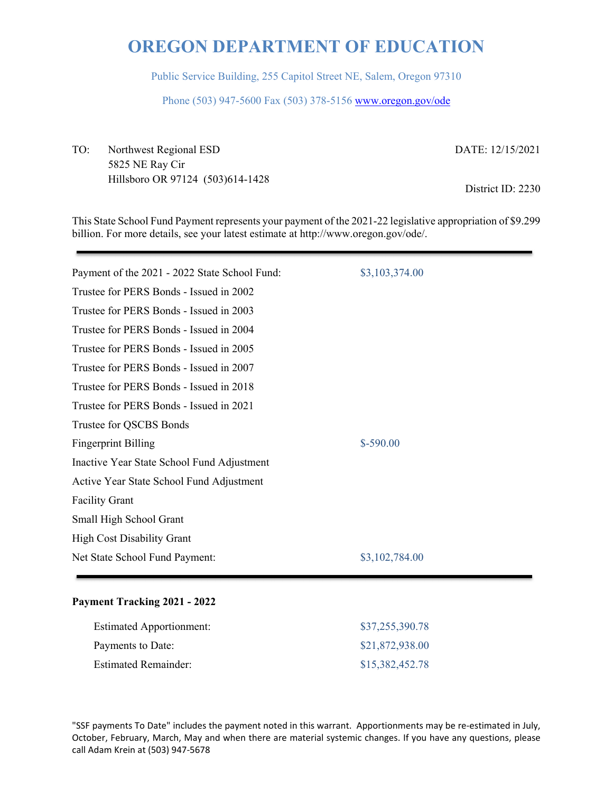Public Service Building, 255 Capitol Street NE, Salem, Oregon 97310

Phone (503) 947-5600 Fax (503) 378-5156 www.oregon.gov/ode

TO: Northwest Regional ESD DATE: 12/15/2021 5825 NE Ray Cir Hillsboro OR 97124 (503)614-1428<br>
District ID: 2230

This State School Fund Payment represents your payment of the 2021-22 legislative appropriation of \$9.299 billion. For more details, see your latest estimate at http://www.oregon.gov/ode/.

| Payment of the 2021 - 2022 State School Fund: | \$3,103,374.00 |
|-----------------------------------------------|----------------|
| Trustee for PERS Bonds - Issued in 2002       |                |
| Trustee for PERS Bonds - Issued in 2003       |                |
| Trustee for PERS Bonds - Issued in 2004       |                |
| Trustee for PERS Bonds - Issued in 2005       |                |
| Trustee for PERS Bonds - Issued in 2007       |                |
| Trustee for PERS Bonds - Issued in 2018       |                |
| Trustee for PERS Bonds - Issued in 2021       |                |
| Trustee for QSCBS Bonds                       |                |
| <b>Fingerprint Billing</b>                    | $$-590.00$     |
| Inactive Year State School Fund Adjustment    |                |
| Active Year State School Fund Adjustment      |                |
| <b>Facility Grant</b>                         |                |
| Small High School Grant                       |                |
| <b>High Cost Disability Grant</b>             |                |
| Net State School Fund Payment:                | \$3,102,784.00 |
|                                               |                |

### **Payment Tracking 2021 - 2022**

| <b>Estimated Apportionment:</b> | \$37,255,390.78 |
|---------------------------------|-----------------|
| Payments to Date:               | \$21,872,938.00 |
| Estimated Remainder:            | \$15,382,452.78 |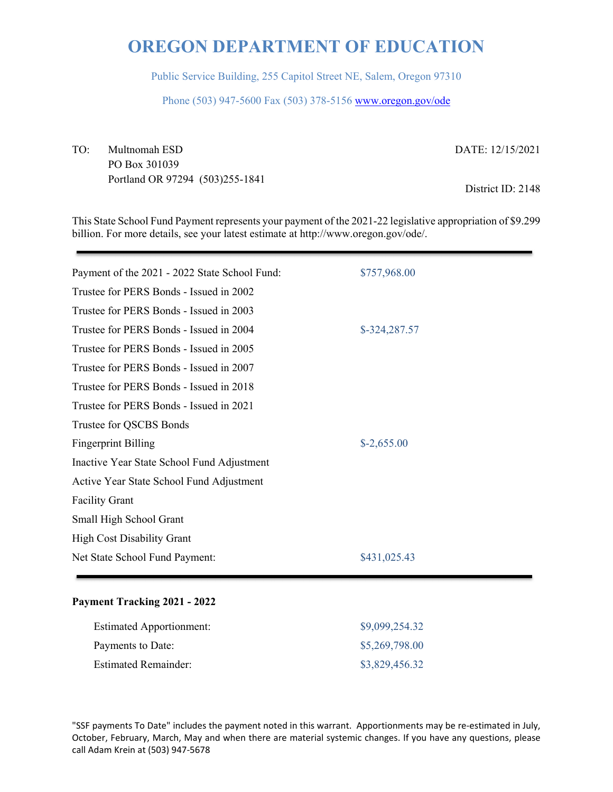Public Service Building, 255 Capitol Street NE, Salem, Oregon 97310

Phone (503) 947-5600 Fax (503) 378-5156 www.oregon.gov/ode

TO: Multnomah ESD DATE: 12/15/2021 PO Box 301039 Portland OR 97294 (503)255-1841 District ID: 2148

This State School Fund Payment represents your payment of the 2021-22 legislative appropriation of \$9.299 billion. For more details, see your latest estimate at http://www.oregon.gov/ode/.

| Payment of the 2021 - 2022 State School Fund: | \$757,968.00  |
|-----------------------------------------------|---------------|
| Trustee for PERS Bonds - Issued in 2002       |               |
| Trustee for PERS Bonds - Issued in 2003       |               |
| Trustee for PERS Bonds - Issued in 2004       | \$-324,287.57 |
| Trustee for PERS Bonds - Issued in 2005       |               |
| Trustee for PERS Bonds - Issued in 2007       |               |
| Trustee for PERS Bonds - Issued in 2018       |               |
| Trustee for PERS Bonds - Issued in 2021       |               |
| Trustee for QSCBS Bonds                       |               |
| <b>Fingerprint Billing</b>                    | $$-2,655.00$  |
| Inactive Year State School Fund Adjustment    |               |
| Active Year State School Fund Adjustment      |               |
| <b>Facility Grant</b>                         |               |
| Small High School Grant                       |               |
| <b>High Cost Disability Grant</b>             |               |
| Net State School Fund Payment:                | \$431,025.43  |
|                                               |               |

### **Payment Tracking 2021 - 2022**

| <b>Estimated Apportionment:</b> | \$9,099,254.32 |
|---------------------------------|----------------|
| Payments to Date:               | \$5,269,798.00 |
| <b>Estimated Remainder:</b>     | \$3,829,456.32 |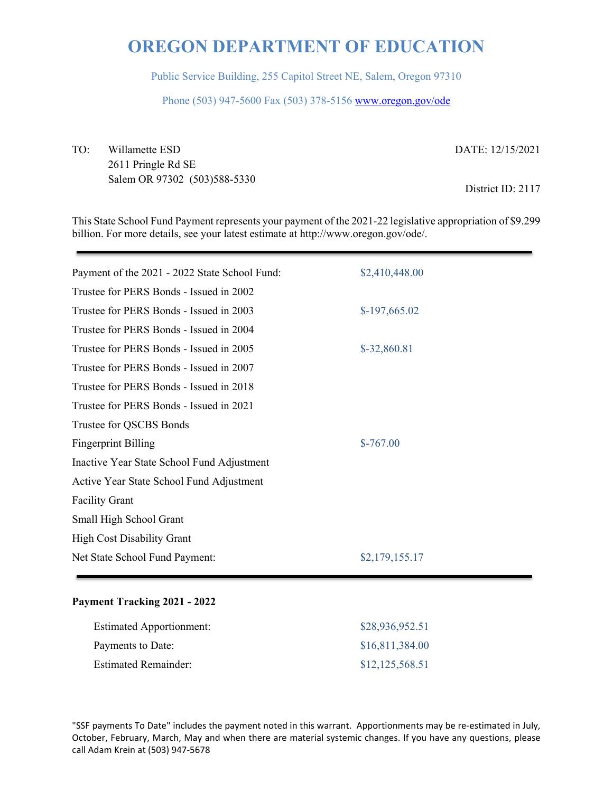Public Service Building, 255 Capitol Street NE, Salem, Oregon 97310

Phone (503) 947-5600 Fax (503) 378-5156 www.oregon.gov/ode

TO: Willamette ESD DATE: 12/15/2021 2611 Pringle Rd SE Salem OR 97302 (503)588-5330<br>
District ID: 2117

This State School Fund Payment represents your payment of the 2021-22 legislative appropriation of \$9.299 billion. For more details, see your latest estimate at http://www.oregon.gov/ode/.

| Payment of the 2021 - 2022 State School Fund: | \$2,410,448.00 |
|-----------------------------------------------|----------------|
| Trustee for PERS Bonds - Issued in 2002       |                |
| Trustee for PERS Bonds - Issued in 2003       | $$-197,665.02$ |
| Trustee for PERS Bonds - Issued in 2004       |                |
| Trustee for PERS Bonds - Issued in 2005       | \$-32,860.81   |
| Trustee for PERS Bonds - Issued in 2007       |                |
| Trustee for PERS Bonds - Issued in 2018       |                |
| Trustee for PERS Bonds - Issued in 2021       |                |
| Trustee for QSCBS Bonds                       |                |
| <b>Fingerprint Billing</b>                    | $$-767.00$     |
| Inactive Year State School Fund Adjustment    |                |
| Active Year State School Fund Adjustment      |                |
| <b>Facility Grant</b>                         |                |
| Small High School Grant                       |                |
| <b>High Cost Disability Grant</b>             |                |
| Net State School Fund Payment:                | \$2,179,155.17 |
|                                               |                |

### **Payment Tracking 2021 - 2022**

| <b>Estimated Apportionment:</b> | \$28,936,952.51 |
|---------------------------------|-----------------|
| Payments to Date:               | \$16,811,384.00 |
| Estimated Remainder:            | \$12,125,568.51 |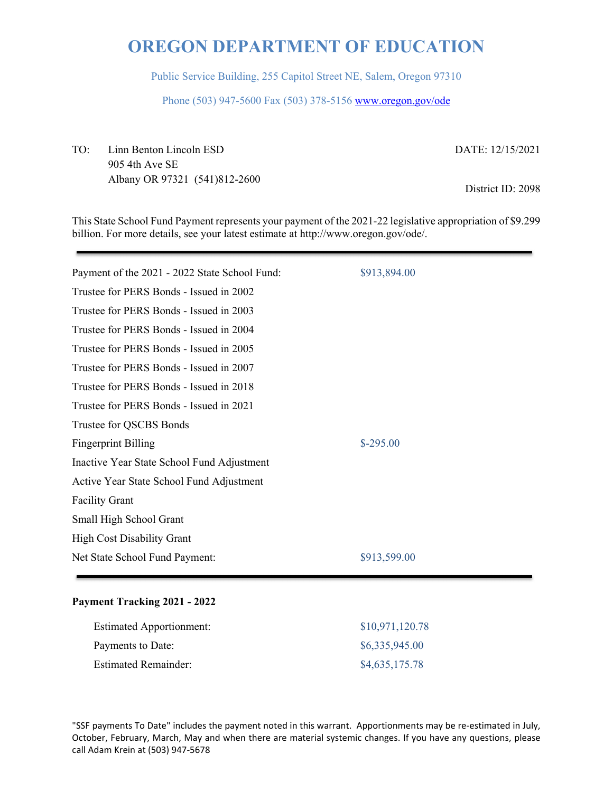Public Service Building, 255 Capitol Street NE, Salem, Oregon 97310

Phone (503) 947-5600 Fax (503) 378-5156 www.oregon.gov/ode

TO: Linn Benton Lincoln ESD DATE: 12/15/2021 905 4th Ave SE Albany OR 97321 (541)812-2600<br>
District ID: 2098

This State School Fund Payment represents your payment of the 2021-22 legislative appropriation of \$9.299 billion. For more details, see your latest estimate at http://www.oregon.gov/ode/.

| Payment of the 2021 - 2022 State School Fund: | \$913,894.00 |
|-----------------------------------------------|--------------|
| Trustee for PERS Bonds - Issued in 2002       |              |
| Trustee for PERS Bonds - Issued in 2003       |              |
| Trustee for PERS Bonds - Issued in 2004       |              |
| Trustee for PERS Bonds - Issued in 2005       |              |
| Trustee for PERS Bonds - Issued in 2007       |              |
| Trustee for PERS Bonds - Issued in 2018       |              |
| Trustee for PERS Bonds - Issued in 2021       |              |
| Trustee for QSCBS Bonds                       |              |
| <b>Fingerprint Billing</b>                    | $$-295.00$   |
| Inactive Year State School Fund Adjustment    |              |
| Active Year State School Fund Adjustment      |              |
| <b>Facility Grant</b>                         |              |
| Small High School Grant                       |              |
| <b>High Cost Disability Grant</b>             |              |
| Net State School Fund Payment:                | \$913,599.00 |
|                                               |              |

### **Payment Tracking 2021 - 2022**

| <b>Estimated Apportionment:</b> | \$10,971,120.78 |
|---------------------------------|-----------------|
| Payments to Date:               | \$6,335,945.00  |
| <b>Estimated Remainder:</b>     | \$4,635,175.78  |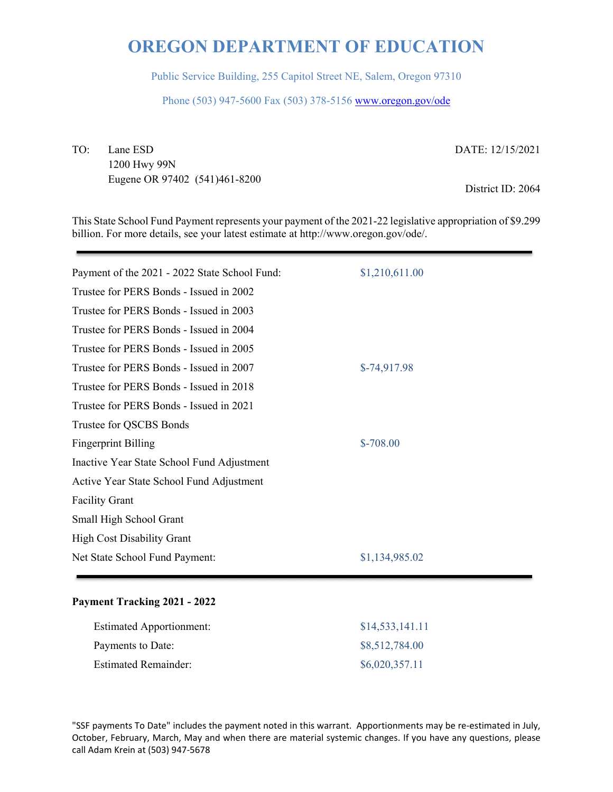Public Service Building, 255 Capitol Street NE, Salem, Oregon 97310

Phone (503) 947-5600 Fax (503) 378-5156 www.oregon.gov/ode

TO: Lane ESD DATE: 12/15/2021

1200 Hwy 99N Eugene OR 97402 (541)461-8200 District ID: 2064

This State School Fund Payment represents your payment of the 2021-22 legislative appropriation of \$9.299 billion. For more details, see your latest estimate at http://www.oregon.gov/ode/.

| Payment of the 2021 - 2022 State School Fund: | \$1,210,611.00 |
|-----------------------------------------------|----------------|
| Trustee for PERS Bonds - Issued in 2002       |                |
| Trustee for PERS Bonds - Issued in 2003       |                |
| Trustee for PERS Bonds - Issued in 2004       |                |
| Trustee for PERS Bonds - Issued in 2005       |                |
| Trustee for PERS Bonds - Issued in 2007       | $$-74,917.98$  |
| Trustee for PERS Bonds - Issued in 2018       |                |
| Trustee for PERS Bonds - Issued in 2021       |                |
| Trustee for QSCBS Bonds                       |                |
| <b>Fingerprint Billing</b>                    | $$-708.00$     |
| Inactive Year State School Fund Adjustment    |                |
| Active Year State School Fund Adjustment      |                |
| <b>Facility Grant</b>                         |                |
| Small High School Grant                       |                |
| <b>High Cost Disability Grant</b>             |                |
| Net State School Fund Payment:                | \$1,134,985.02 |
|                                               |                |

### **Payment Tracking 2021 - 2022**

| <b>Estimated Apportionment:</b> | \$14,533,141.11 |
|---------------------------------|-----------------|
| Payments to Date:               | \$8,512,784.00  |
| <b>Estimated Remainder:</b>     | \$6,020,357.11  |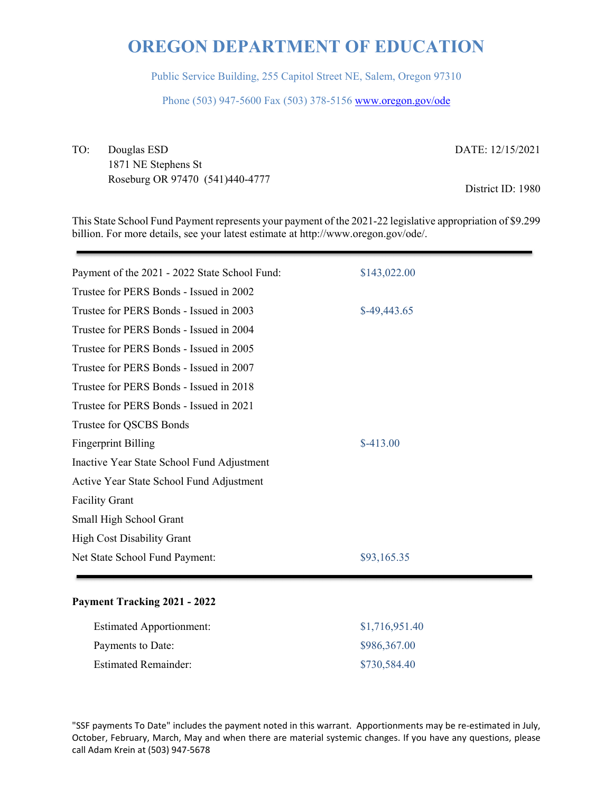Public Service Building, 255 Capitol Street NE, Salem, Oregon 97310

Phone (503) 947-5600 Fax (503) 378-5156 www.oregon.gov/ode

TO: Douglas ESD DATE: 12/15/2021 1871 NE Stephens St Roseburg OR 97470 (541)440-4777 District ID: 1980

This State School Fund Payment represents your payment of the 2021-22 legislative appropriation of \$9.299 billion. For more details, see your latest estimate at http://www.oregon.gov/ode/.

| Payment of the 2021 - 2022 State School Fund: | \$143,022.00  |
|-----------------------------------------------|---------------|
| Trustee for PERS Bonds - Issued in 2002       |               |
| Trustee for PERS Bonds - Issued in 2003       | $$-49,443.65$ |
| Trustee for PERS Bonds - Issued in 2004       |               |
| Trustee for PERS Bonds - Issued in 2005       |               |
| Trustee for PERS Bonds - Issued in 2007       |               |
| Trustee for PERS Bonds - Issued in 2018       |               |
| Trustee for PERS Bonds - Issued in 2021       |               |
| Trustee for QSCBS Bonds                       |               |
| <b>Fingerprint Billing</b>                    | $$-413.00$    |
| Inactive Year State School Fund Adjustment    |               |
| Active Year State School Fund Adjustment      |               |
| <b>Facility Grant</b>                         |               |
| Small High School Grant                       |               |
| <b>High Cost Disability Grant</b>             |               |
| Net State School Fund Payment:                | \$93,165.35   |
|                                               |               |

#### **Payment Tracking 2021 - 2022**

| <b>Estimated Apportionment:</b> | \$1,716,951.40 |
|---------------------------------|----------------|
| Payments to Date:               | \$986,367.00   |
| <b>Estimated Remainder:</b>     | \$730,584.40   |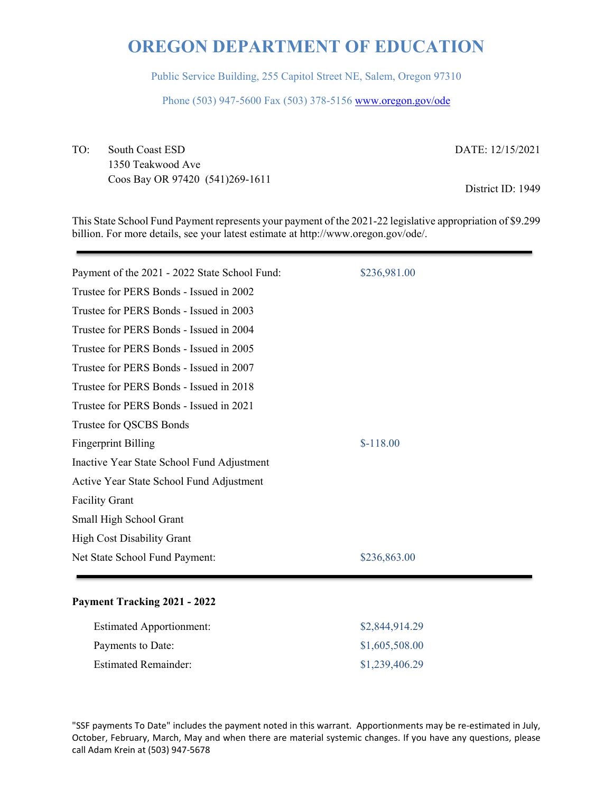Public Service Building, 255 Capitol Street NE, Salem, Oregon 97310

Phone (503) 947-5600 Fax (503) 378-5156 www.oregon.gov/ode

TO: South Coast ESD DATE: 12/15/2021 1350 Teakwood Ave Coos Bay OR 97420 (541)269-1611 District ID: 1949

This State School Fund Payment represents your payment of the 2021-22 legislative appropriation of \$9.299 billion. For more details, see your latest estimate at http://www.oregon.gov/ode/.

| Payment of the 2021 - 2022 State School Fund: | \$236,981.00 |
|-----------------------------------------------|--------------|
| Trustee for PERS Bonds - Issued in 2002       |              |
| Trustee for PERS Bonds - Issued in 2003       |              |
| Trustee for PERS Bonds - Issued in 2004       |              |
| Trustee for PERS Bonds - Issued in 2005       |              |
| Trustee for PERS Bonds - Issued in 2007       |              |
| Trustee for PERS Bonds - Issued in 2018       |              |
| Trustee for PERS Bonds - Issued in 2021       |              |
| Trustee for QSCBS Bonds                       |              |
| <b>Fingerprint Billing</b>                    | $$-118.00$   |
| Inactive Year State School Fund Adjustment    |              |
| Active Year State School Fund Adjustment      |              |
| <b>Facility Grant</b>                         |              |
| Small High School Grant                       |              |
| <b>High Cost Disability Grant</b>             |              |
| Net State School Fund Payment:                | \$236,863.00 |
|                                               |              |

### **Payment Tracking 2021 - 2022**

| <b>Estimated Apportionment:</b> | \$2,844,914.29 |
|---------------------------------|----------------|
| Payments to Date:               | \$1,605,508.00 |
| <b>Estimated Remainder:</b>     | \$1,239,406.29 |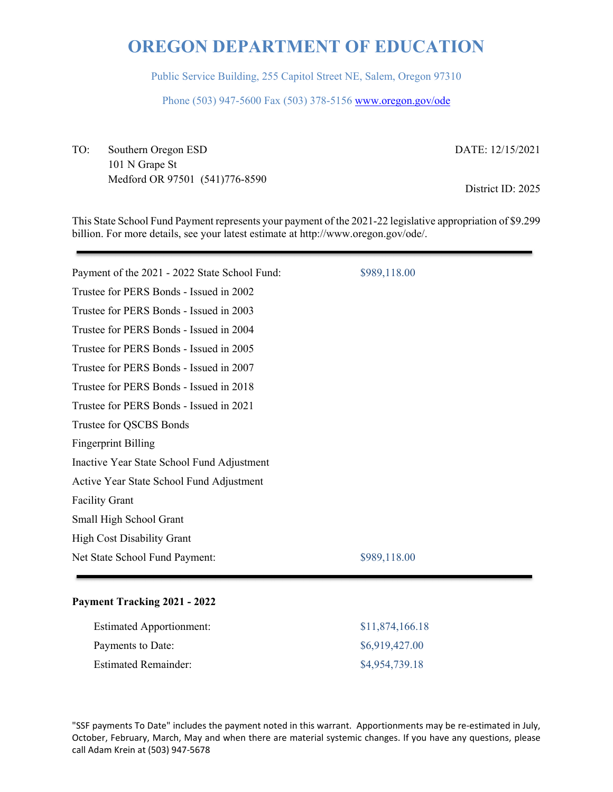Public Service Building, 255 Capitol Street NE, Salem, Oregon 97310

Phone (503) 947-5600 Fax (503) 378-5156 www.oregon.gov/ode

TO: Southern Oregon ESD DATE: 12/15/2021 101 N Grape St Medford OR 97501 (541)776-8590 District ID: 2025

This State School Fund Payment represents your payment of the 2021-22 legislative appropriation of \$9.299 billion. For more details, see your latest estimate at http://www.oregon.gov/ode/.

| Payment of the 2021 - 2022 State School Fund: | \$989,118.00 |
|-----------------------------------------------|--------------|
| Trustee for PERS Bonds - Issued in 2002       |              |
| Trustee for PERS Bonds - Issued in 2003       |              |
| Trustee for PERS Bonds - Issued in 2004       |              |
| Trustee for PERS Bonds - Issued in 2005       |              |
| Trustee for PERS Bonds - Issued in 2007       |              |
| Trustee for PERS Bonds - Issued in 2018       |              |
| Trustee for PERS Bonds - Issued in 2021       |              |
| Trustee for QSCBS Bonds                       |              |
| <b>Fingerprint Billing</b>                    |              |
| Inactive Year State School Fund Adjustment    |              |
| Active Year State School Fund Adjustment      |              |
| <b>Facility Grant</b>                         |              |
| Small High School Grant                       |              |
| <b>High Cost Disability Grant</b>             |              |
| Net State School Fund Payment:                | \$989,118.00 |
|                                               |              |

### **Payment Tracking 2021 - 2022**

| <b>Estimated Apportionment:</b> | \$11,874,166.18 |
|---------------------------------|-----------------|
| Payments to Date:               | \$6,919,427.00  |
| <b>Estimated Remainder:</b>     | \$4,954,739.18  |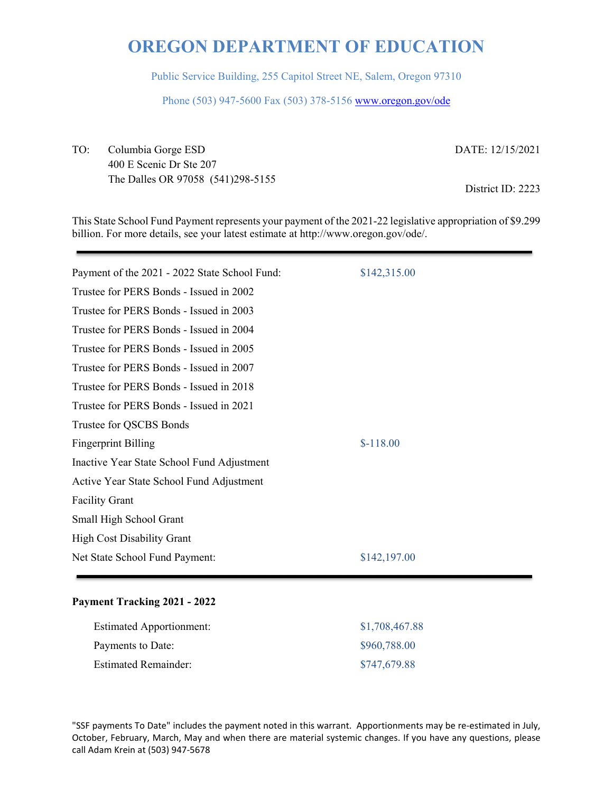Public Service Building, 255 Capitol Street NE, Salem, Oregon 97310

Phone (503) 947-5600 Fax (503) 378-5156 www.oregon.gov/ode

TO: Columbia Gorge ESD DATE: 12/15/2021 400 E Scenic Dr Ste 207 The Dalles OR 97058 (541)298-5155 District ID: 2223

This State School Fund Payment represents your payment of the 2021-22 legislative appropriation of \$9.299 billion. For more details, see your latest estimate at http://www.oregon.gov/ode/.

| Payment of the 2021 - 2022 State School Fund: | \$142,315.00 |
|-----------------------------------------------|--------------|
| Trustee for PERS Bonds - Issued in 2002       |              |
| Trustee for PERS Bonds - Issued in 2003       |              |
| Trustee for PERS Bonds - Issued in 2004       |              |
| Trustee for PERS Bonds - Issued in 2005       |              |
| Trustee for PERS Bonds - Issued in 2007       |              |
| Trustee for PERS Bonds - Issued in 2018       |              |
| Trustee for PERS Bonds - Issued in 2021       |              |
| Trustee for QSCBS Bonds                       |              |
| <b>Fingerprint Billing</b>                    | $$-118.00$   |
| Inactive Year State School Fund Adjustment    |              |
| Active Year State School Fund Adjustment      |              |
| <b>Facility Grant</b>                         |              |
| Small High School Grant                       |              |
| <b>High Cost Disability Grant</b>             |              |
| Net State School Fund Payment:                | \$142,197.00 |
|                                               |              |

### **Payment Tracking 2021 - 2022**

| <b>Estimated Apportionment:</b> | \$1,708,467.88 |
|---------------------------------|----------------|
| Payments to Date:               | \$960,788.00   |
| <b>Estimated Remainder:</b>     | \$747,679.88   |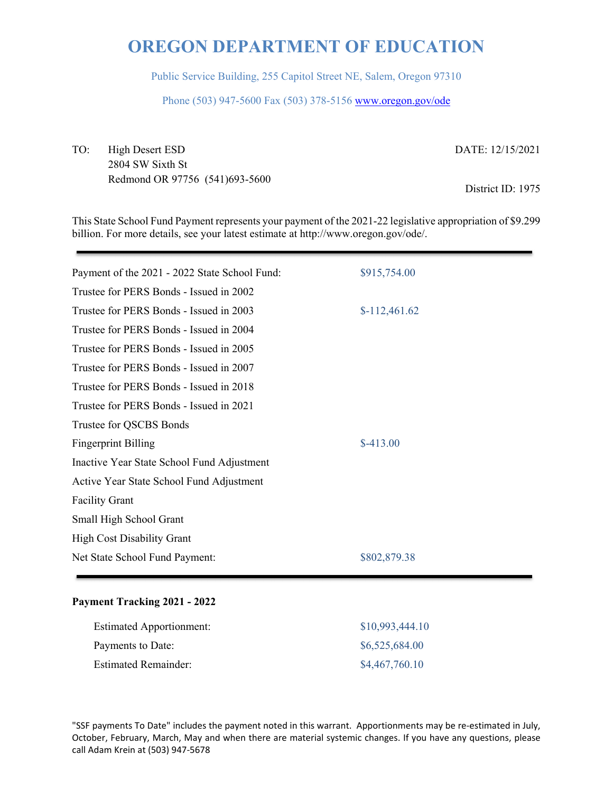Public Service Building, 255 Capitol Street NE, Salem, Oregon 97310

Phone (503) 947-5600 Fax (503) 378-5156 www.oregon.gov/ode

TO: High Desert ESD DATE: 12/15/2021 2804 SW Sixth St Redmond OR 97756 (541)693-5600<br>District ID: 1975

This State School Fund Payment represents your payment of the 2021-22 legislative appropriation of \$9.299 billion. For more details, see your latest estimate at http://www.oregon.gov/ode/.

| Payment of the 2021 - 2022 State School Fund: | \$915,754.00   |
|-----------------------------------------------|----------------|
| Trustee for PERS Bonds - Issued in 2002       |                |
| Trustee for PERS Bonds - Issued in 2003       | $$-112,461.62$ |
| Trustee for PERS Bonds - Issued in 2004       |                |
| Trustee for PERS Bonds - Issued in 2005       |                |
| Trustee for PERS Bonds - Issued in 2007       |                |
| Trustee for PERS Bonds - Issued in 2018       |                |
| Trustee for PERS Bonds - Issued in 2021       |                |
| Trustee for QSCBS Bonds                       |                |
| <b>Fingerprint Billing</b>                    | $$-413.00$     |
| Inactive Year State School Fund Adjustment    |                |
| Active Year State School Fund Adjustment      |                |
| <b>Facility Grant</b>                         |                |
| Small High School Grant                       |                |
| <b>High Cost Disability Grant</b>             |                |
| Net State School Fund Payment:                | \$802,879.38   |
|                                               |                |

#### **Payment Tracking 2021 - 2022**

| <b>Estimated Apportionment:</b> | \$10,993,444.10 |
|---------------------------------|-----------------|
| Payments to Date:               | \$6,525,684.00  |
| <b>Estimated Remainder:</b>     | \$4,467,760.10  |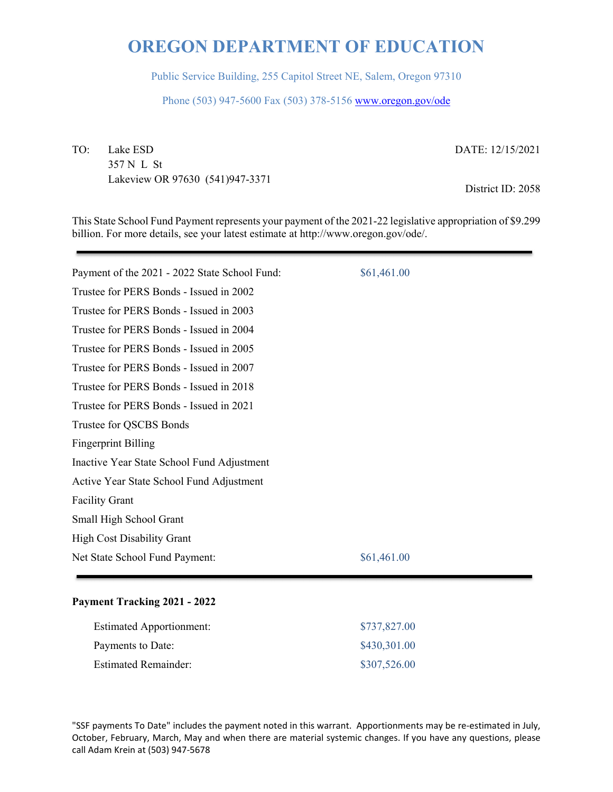Public Service Building, 255 Capitol Street NE, Salem, Oregon 97310

Phone (503) 947-5600 Fax (503) 378-5156 www.oregon.gov/ode

TO: Lake ESD DATE: 12/15/2021 357 N L St Lakeview OR 97630 (541)947-3371 District ID: 2058

This State School Fund Payment represents your payment of the 2021-22 legislative appropriation of \$9.299 billion. For more details, see your latest estimate at http://www.oregon.gov/ode/.

| Payment of the 2021 - 2022 State School Fund: | \$61,461.00 |
|-----------------------------------------------|-------------|
| Trustee for PERS Bonds - Issued in 2002       |             |
| Trustee for PERS Bonds - Issued in 2003       |             |
| Trustee for PERS Bonds - Issued in 2004       |             |
| Trustee for PERS Bonds - Issued in 2005       |             |
| Trustee for PERS Bonds - Issued in 2007       |             |
| Trustee for PERS Bonds - Issued in 2018       |             |
| Trustee for PERS Bonds - Issued in 2021       |             |
| Trustee for QSCBS Bonds                       |             |
| <b>Fingerprint Billing</b>                    |             |
| Inactive Year State School Fund Adjustment    |             |
| Active Year State School Fund Adjustment      |             |
| <b>Facility Grant</b>                         |             |
| Small High School Grant                       |             |
| <b>High Cost Disability Grant</b>             |             |
| Net State School Fund Payment:                | \$61,461.00 |
|                                               |             |

### **Payment Tracking 2021 - 2022**

| <b>Estimated Apportionment:</b> | \$737,827.00 |
|---------------------------------|--------------|
| Payments to Date:               | \$430,301.00 |
| <b>Estimated Remainder:</b>     | \$307,526.00 |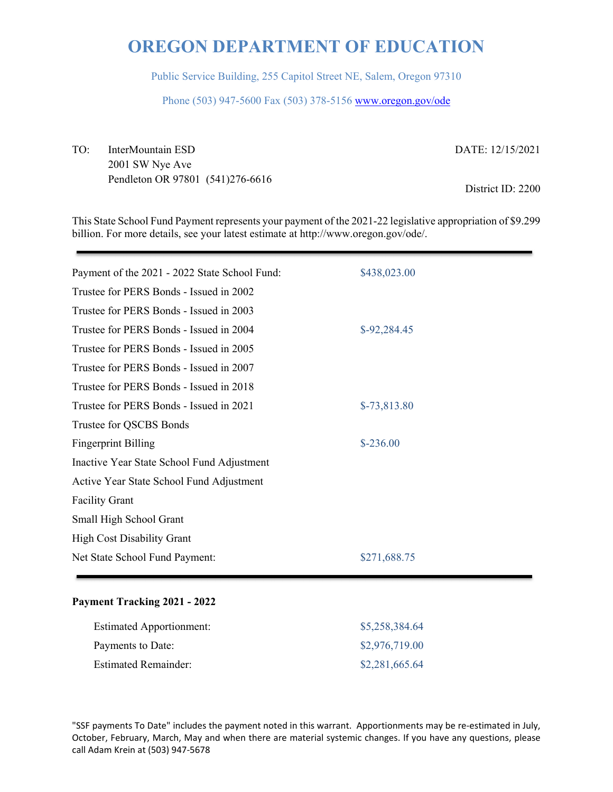Public Service Building, 255 Capitol Street NE, Salem, Oregon 97310

Phone (503) 947-5600 Fax (503) 378-5156 www.oregon.gov/ode

TO: InterMountain ESD DATE: 12/15/2021 2001 SW Nye Ave Pendleton OR 97801 (541)276-6616 District ID: 2200

This State School Fund Payment represents your payment of the 2021-22 legislative appropriation of \$9.299 billion. For more details, see your latest estimate at http://www.oregon.gov/ode/.

| Payment of the 2021 - 2022 State School Fund: | \$438,023.00  |
|-----------------------------------------------|---------------|
| Trustee for PERS Bonds - Issued in 2002       |               |
| Trustee for PERS Bonds - Issued in 2003       |               |
| Trustee for PERS Bonds - Issued in 2004       | \$-92,284.45  |
| Trustee for PERS Bonds - Issued in 2005       |               |
| Trustee for PERS Bonds - Issued in 2007       |               |
| Trustee for PERS Bonds - Issued in 2018       |               |
| Trustee for PERS Bonds - Issued in 2021       | $$-73,813.80$ |
| Trustee for QSCBS Bonds                       |               |
| <b>Fingerprint Billing</b>                    | $$-236.00$    |
| Inactive Year State School Fund Adjustment    |               |
| Active Year State School Fund Adjustment      |               |
| <b>Facility Grant</b>                         |               |
| Small High School Grant                       |               |
| <b>High Cost Disability Grant</b>             |               |
| Net State School Fund Payment:                | \$271,688.75  |
|                                               |               |

### **Payment Tracking 2021 - 2022**

| <b>Estimated Apportionment:</b> | \$5,258,384.64 |
|---------------------------------|----------------|
| Payments to Date:               | \$2,976,719.00 |
| <b>Estimated Remainder:</b>     | \$2,281,665.64 |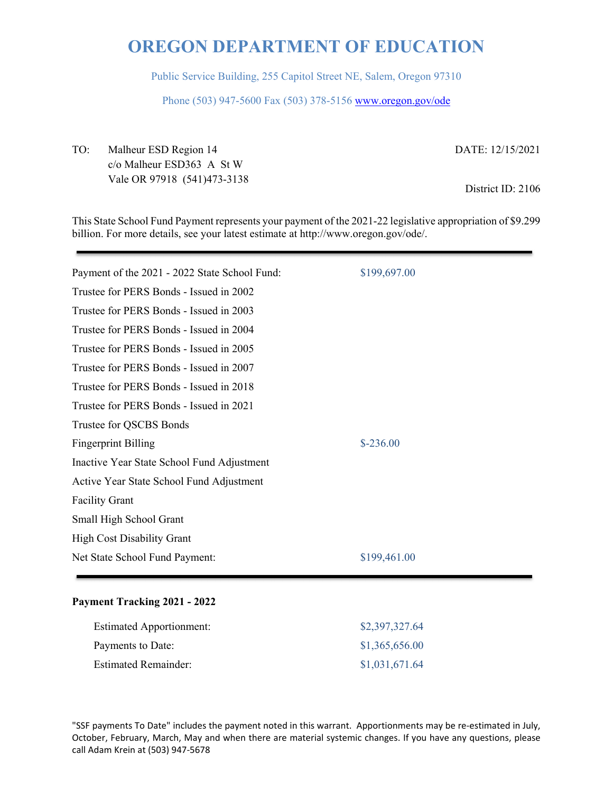Public Service Building, 255 Capitol Street NE, Salem, Oregon 97310

Phone (503) 947-5600 Fax (503) 378-5156 www.oregon.gov/ode

TO: Malheur ESD Region 14 DATE: 12/15/2021 c/o Malheur ESD363 A St W Vale OR 97918 (541)473-3138 District ID: 2106

This State School Fund Payment represents your payment of the 2021-22 legislative appropriation of \$9.299 billion. For more details, see your latest estimate at http://www.oregon.gov/ode/.

| Payment of the 2021 - 2022 State School Fund: | \$199,697.00 |
|-----------------------------------------------|--------------|
| Trustee for PERS Bonds - Issued in 2002       |              |
| Trustee for PERS Bonds - Issued in 2003       |              |
| Trustee for PERS Bonds - Issued in 2004       |              |
| Trustee for PERS Bonds - Issued in 2005       |              |
| Trustee for PERS Bonds - Issued in 2007       |              |
| Trustee for PERS Bonds - Issued in 2018       |              |
| Trustee for PERS Bonds - Issued in 2021       |              |
| Trustee for QSCBS Bonds                       |              |
| <b>Fingerprint Billing</b>                    | $$-236.00$   |
| Inactive Year State School Fund Adjustment    |              |
| Active Year State School Fund Adjustment      |              |
| <b>Facility Grant</b>                         |              |
| Small High School Grant                       |              |
| <b>High Cost Disability Grant</b>             |              |
| Net State School Fund Payment:                | \$199,461.00 |
|                                               |              |

### **Payment Tracking 2021 - 2022**

| <b>Estimated Apportionment:</b> | \$2,397,327.64 |
|---------------------------------|----------------|
| Payments to Date:               | \$1,365,656.00 |
| <b>Estimated Remainder:</b>     | \$1,031,671.64 |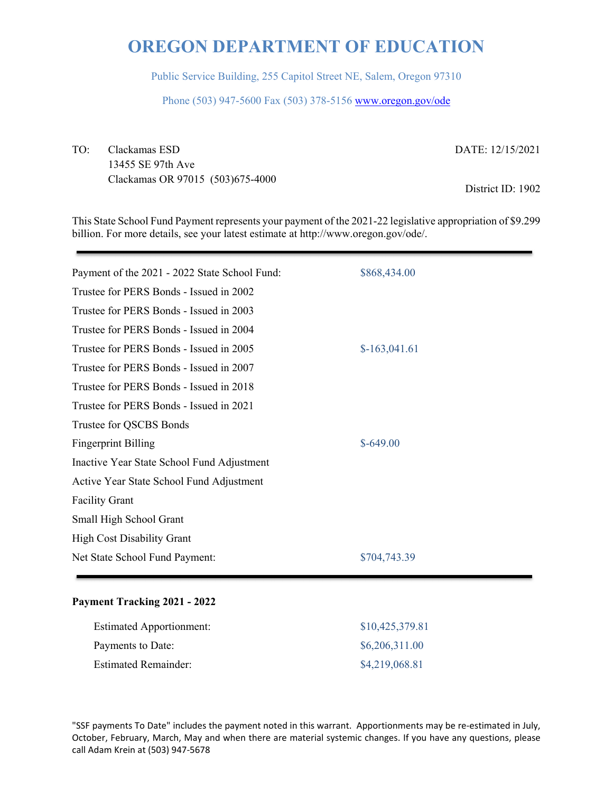Public Service Building, 255 Capitol Street NE, Salem, Oregon 97310

Phone (503) 947-5600 Fax (503) 378-5156 www.oregon.gov/ode

TO: Clackamas ESD DATE: 12/15/2021 13455 SE 97th Ave Clackamas OR 97015 (503)675-4000 District ID: 1902

This State School Fund Payment represents your payment of the 2021-22 legislative appropriation of \$9.299 billion. For more details, see your latest estimate at http://www.oregon.gov/ode/.

| Payment of the 2021 - 2022 State School Fund: | \$868,434.00   |
|-----------------------------------------------|----------------|
| Trustee for PERS Bonds - Issued in 2002       |                |
| Trustee for PERS Bonds - Issued in 2003       |                |
| Trustee for PERS Bonds - Issued in 2004       |                |
| Trustee for PERS Bonds - Issued in 2005       | $$-163,041.61$ |
| Trustee for PERS Bonds - Issued in 2007       |                |
| Trustee for PERS Bonds - Issued in 2018       |                |
| Trustee for PERS Bonds - Issued in 2021       |                |
| Trustee for QSCBS Bonds                       |                |
| <b>Fingerprint Billing</b>                    | $$-649.00$     |
| Inactive Year State School Fund Adjustment    |                |
| Active Year State School Fund Adjustment      |                |
| <b>Facility Grant</b>                         |                |
| Small High School Grant                       |                |
| <b>High Cost Disability Grant</b>             |                |
| Net State School Fund Payment:                | \$704,743.39   |
|                                               |                |

### **Payment Tracking 2021 - 2022**

| <b>Estimated Apportionment:</b> | \$10,425,379.81 |
|---------------------------------|-----------------|
| Payments to Date:               | \$6,206,311.00  |
| <b>Estimated Remainder:</b>     | \$4,219,068.81  |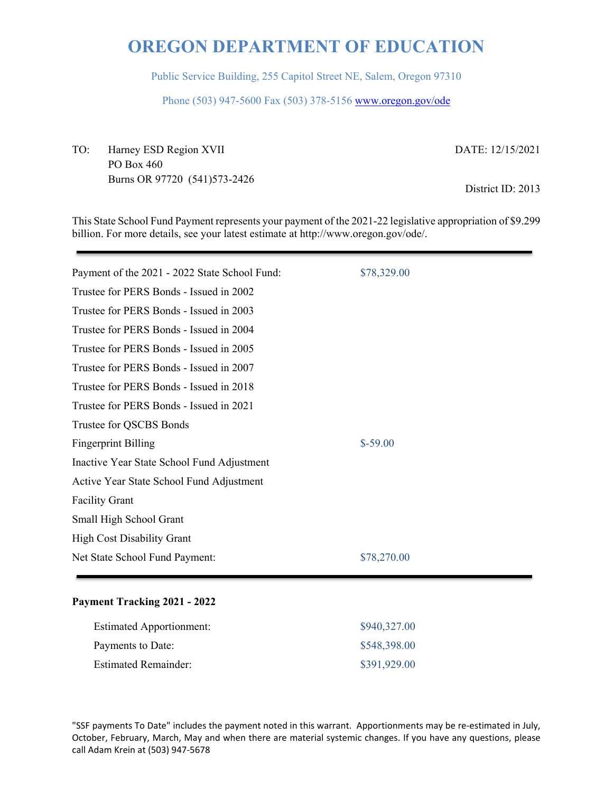Public Service Building, 255 Capitol Street NE, Salem, Oregon 97310

Phone (503) 947-5600 Fax (503) 378-5156 www.oregon.gov/ode

TO: Harney ESD Region XVII DATE: 12/15/2021 PO Box 460 Burns OR 97720 (541)573-2426 District ID: 2013

This State School Fund Payment represents your payment of the 2021-22 legislative appropriation of \$9.299 billion. For more details, see your latest estimate at http://www.oregon.gov/ode/.

| Payment of the 2021 - 2022 State School Fund: | \$78,329.00 |
|-----------------------------------------------|-------------|
| Trustee for PERS Bonds - Issued in 2002       |             |
| Trustee for PERS Bonds - Issued in 2003       |             |
| Trustee for PERS Bonds - Issued in 2004       |             |
| Trustee for PERS Bonds - Issued in 2005       |             |
| Trustee for PERS Bonds - Issued in 2007       |             |
| Trustee for PERS Bonds - Issued in 2018       |             |
| Trustee for PERS Bonds - Issued in 2021       |             |
| Trustee for QSCBS Bonds                       |             |
| <b>Fingerprint Billing</b>                    | $$-59.00$   |
| Inactive Year State School Fund Adjustment    |             |
| Active Year State School Fund Adjustment      |             |
| <b>Facility Grant</b>                         |             |
| Small High School Grant                       |             |
| <b>High Cost Disability Grant</b>             |             |
| Net State School Fund Payment:                | \$78,270.00 |
|                                               |             |

### **Payment Tracking 2021 - 2022**

| <b>Estimated Apportionment:</b> | \$940,327.00 |
|---------------------------------|--------------|
| Payments to Date:               | \$548,398.00 |
| <b>Estimated Remainder:</b>     | \$391,929.00 |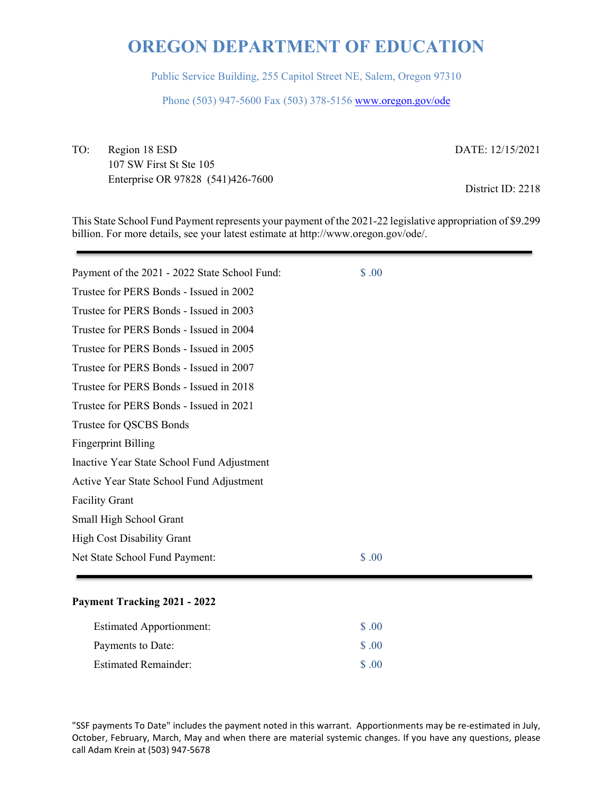Public Service Building, 255 Capitol Street NE, Salem, Oregon 97310

Phone (503) 947-5600 Fax (503) 378-5156 www.oregon.gov/ode

TO: Region 18 ESD DATE: 12/15/2021 107 SW First St Ste 105 Enterprise OR 97828 (541)426-7600 District ID: 2218

This State School Fund Payment represents your payment of the 2021-22 legislative appropriation of \$9.299 billion. For more details, see your latest estimate at http://www.oregon.gov/ode/.

| Payment of the 2021 - 2022 State School Fund: | \$.00 |
|-----------------------------------------------|-------|
| Trustee for PERS Bonds - Issued in 2002       |       |
| Trustee for PERS Bonds - Issued in 2003       |       |
| Trustee for PERS Bonds - Issued in 2004       |       |
| Trustee for PERS Bonds - Issued in 2005       |       |
| Trustee for PERS Bonds - Issued in 2007       |       |
| Trustee for PERS Bonds - Issued in 2018       |       |
| Trustee for PERS Bonds - Issued in 2021       |       |
| Trustee for QSCBS Bonds                       |       |
| <b>Fingerprint Billing</b>                    |       |
| Inactive Year State School Fund Adjustment    |       |
| Active Year State School Fund Adjustment      |       |
| <b>Facility Grant</b>                         |       |
| Small High School Grant                       |       |
| <b>High Cost Disability Grant</b>             |       |
| Net State School Fund Payment:                | \$.00 |

### **Payment Tracking 2021 - 2022**

| <b>Estimated Apportionment:</b> | \$ .00            |
|---------------------------------|-------------------|
| Payments to Date:               | $\Omega$ $\Omega$ |
| <b>Estimated Remainder:</b>     | $\Omega$ $\Omega$ |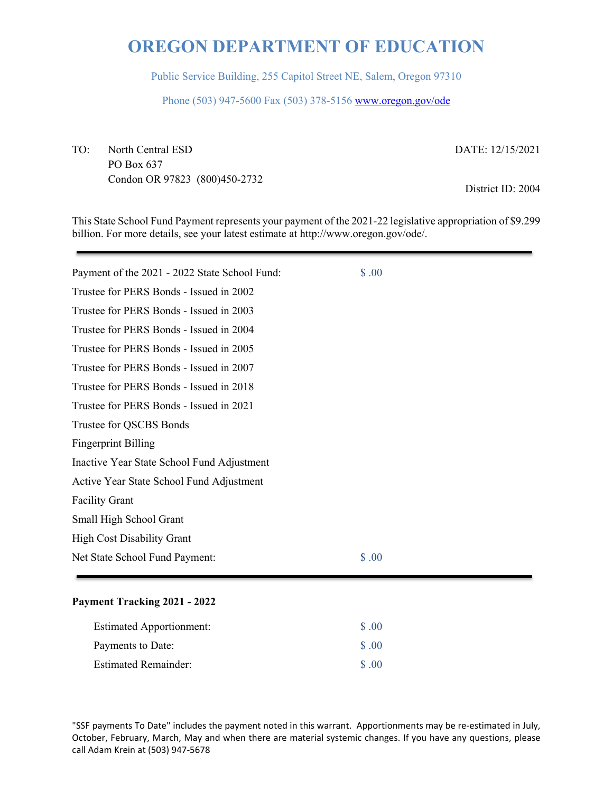Public Service Building, 255 Capitol Street NE, Salem, Oregon 97310

Phone (503) 947-5600 Fax (503) 378-5156 www.oregon.gov/ode

TO: North Central ESD DATE: 12/15/2021 PO Box 637 Condon OR 97823 (800)450-2732 District ID: 2004

This State School Fund Payment represents your payment of the 2021-22 legislative appropriation of \$9.299 billion. For more details, see your latest estimate at http://www.oregon.gov/ode/.

| \$.00 |
|-------|
|       |
|       |
|       |
|       |
|       |
|       |
|       |
|       |
|       |
|       |
|       |
|       |
|       |
|       |
| \$.00 |
|       |

#### **Payment Tracking 2021 - 2022**

| <b>Estimated Apportionment:</b> | \$ .00            |
|---------------------------------|-------------------|
| Payments to Date:               | $\Omega$ $\Omega$ |
| <b>Estimated Remainder:</b>     | $\Omega$ $\Omega$ |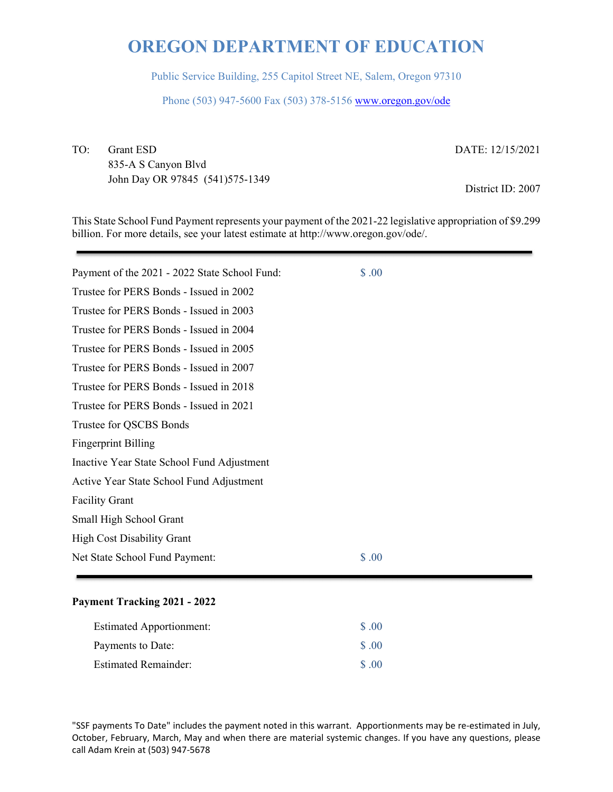Public Service Building, 255 Capitol Street NE, Salem, Oregon 97310

Phone (503) 947-5600 Fax (503) 378-5156 www.oregon.gov/ode

TO: Grant ESD DATE: 12/15/2021 835-A S Canyon Blvd John Day OR 97845 (541)575-1349 District ID: 2007

This State School Fund Payment represents your payment of the 2021-22 legislative appropriation of \$9.299 billion. For more details, see your latest estimate at http://www.oregon.gov/ode/.

| Payment of the 2021 - 2022 State School Fund: | \$.00 |
|-----------------------------------------------|-------|
| Trustee for PERS Bonds - Issued in 2002       |       |
| Trustee for PERS Bonds - Issued in 2003       |       |
| Trustee for PERS Bonds - Issued in 2004       |       |
| Trustee for PERS Bonds - Issued in 2005       |       |
| Trustee for PERS Bonds - Issued in 2007       |       |
| Trustee for PERS Bonds - Issued in 2018       |       |
| Trustee for PERS Bonds - Issued in 2021       |       |
| Trustee for QSCBS Bonds                       |       |
| <b>Fingerprint Billing</b>                    |       |
| Inactive Year State School Fund Adjustment    |       |
| Active Year State School Fund Adjustment      |       |
| <b>Facility Grant</b>                         |       |
| Small High School Grant                       |       |
| <b>High Cost Disability Grant</b>             |       |
| Net State School Fund Payment:                | \$.00 |

### **Payment Tracking 2021 - 2022**

| <b>Estimated Apportionment:</b> | \$ .00            |
|---------------------------------|-------------------|
| Payments to Date:               | $\Omega$ $\Omega$ |
| <b>Estimated Remainder:</b>     | $\Omega$ $\Omega$ |